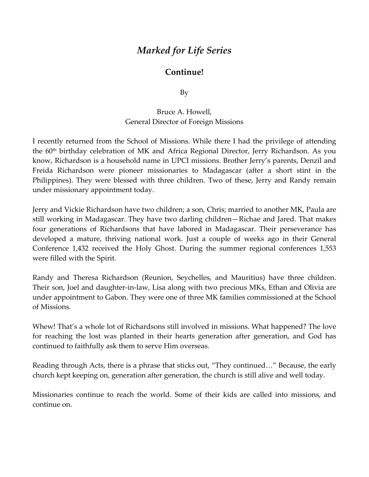## *Marked for Life Series*

## **Continue!**

By

## Bruce A. Howell, General Director of Foreign Missions

I recently returned from the School of Missions. While there I had the privilege of attending the 60<sup>th</sup> birthday celebration of MK and Africa Regional Director, Jerry Richardson. As you know, Richardson is a household name in UPCI missions. Brother Jerry's parents, Denzil and Freida Richardson were pioneer missionaries to Madagascar (after a short stint in the Philippines). They were blessed with three children. Two of these, Jerry and Randy remain under missionary appointment today.

Jerry and Vickie Richardson have two children; a son, Chris; married to another MK, Paula are still working in Madagascar. They have two darling children—Richae and Jared. That makes four generations of Richardsons that have labored in Madagascar. Their perseverance has developed a mature, thriving national work. Just a couple of weeks ago in their General Conference 1,432 received the Holy Ghost. During the summer regional conferences 1,553 were filled with the Spirit.

Randy and Theresa Richardson (Reunion, Seychelles, and Mauritius) have three children. Their son, Joel and daughter-in-law, Lisa along with two precious MKs, Ethan and Olivia are under appointment to Gabon. They were one of three MK families commissioned at the School of Missions.

Whew! That's a whole lot of Richardsons still involved in missions. What happened? The love for reaching the lost was planted in their hearts generation after generation, and God has continued to faithfully ask them to serve Him overseas.

Reading through Acts, there is a phrase that sticks out, "They continued…" Because, the early church kept keeping on, generation after generation, the church is still alive and well today.

Missionaries continue to reach the world. Some of their kids are called into missions, and continue on.